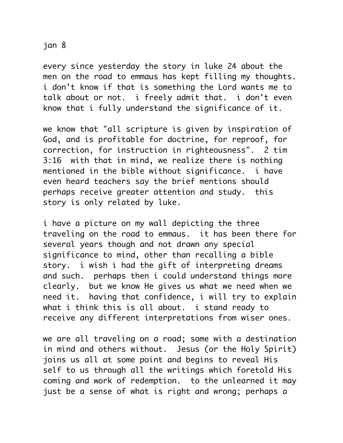## jan 8

every since yesterday the story in luke 24 about the men on the road to emmaus has kept filling my thoughts. i don't know if that is something the Lord wants me to talk about or not. i freely admit that. i don't even know that i fully understand the significance of it.

we know that "all scripture is given by inspiration of God, and is profitable for doctrine, for reproof, for correction, for instruction in righteousness". 2 tim 3:16 with that in mind, we realize there is nothing mentioned in the bible without significance. i have even heard teachers say the brief mentions should perhaps receive greater attention and study. this story is only related by luke.

i have a picture on my wall depicting the three traveling on the road to emmaus. it has been there for several years though and not drawn any special significance to mind, other than recalling a bible story. i wish i had the gift of interpreting dreams and such. perhaps then i could understand things more clearly. but we know He gives us what we need when we need it. having that confidence, i will try to explain what i think this is all about. i stand ready to receive any different interpretations from wiser ones.

we are all traveling on a road; some with a destination in mind and others without. Jesus (or the Holy Spirit) joins us all at some point and begins to reveal His self to us through all the writings which foretold His coming and work of redemption. to the unlearned it may just be a sense of what is right and wrong; perhaps a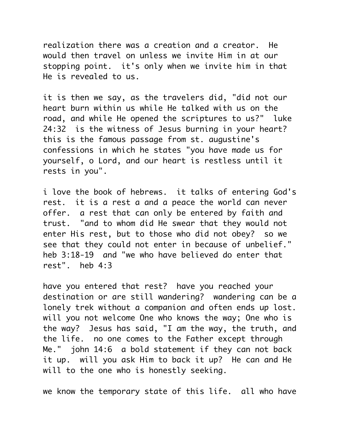realization there was a creation and a creator. He would then travel on unless we invite Him in at our stopping point. it's only when we invite him in that He is revealed to us.

it is then we say, as the travelers did, "did not our heart burn within us while He talked with us on the road, and while He opened the scriptures to us?" luke 24:32 is the witness of Jesus burning in your heart? this is the famous passage from st. augustine's confessions in which he states "you have made us for yourself, o Lord, and our heart is restless until it rests in you".

i love the book of hebrews. it talks of entering God's rest. it is a rest a and a peace the world can never offer. a rest that can only be entered by faith and trust. "and to whom did He swear that they would not enter His rest, but to those who did not obey? so we see that they could not enter in because of unbelief." heb 3:18-19 and "we who have believed do enter that rest". heb 4:3

have you entered that rest? have you reached your destination or are still wandering? wandering can be a lonely trek without a companion and often ends up lost. will you not welcome One who knows the way; One who is the way? Jesus has said, "I am the way, the truth, and the life. no one comes to the Father except through Me." john 14:6 a bold statement if they can not back it up. will you ask Him to back it up? He can and He will to the one who is honestly seeking.

we know the temporary state of this life. all who have